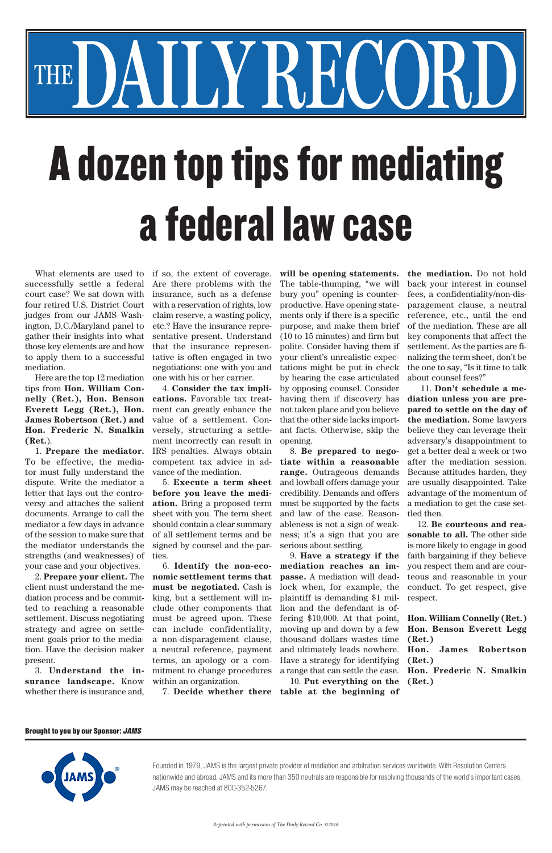What elements are used to successfully settle a federal court case? We sat down with four retired U.S. District Court judges from our JAMS Washington, D.C./Maryland panel to gather their insights into what those key elements are and how to apply them to a successful mediation.

Here are the top 12 mediation tips from **Hon. William Connelly (Ret.), Hon. Benson Everett Legg (Ret.), Hon. James Robertson (Ret.) and Hon. Frederic N. Smalkin (Ret.**).

1. **Prepare the mediator.** To be effective, the mediator must fully understand the dispute. Write the mediator a letter that lays out the controversy and attaches the salient documents. Arrange to call the mediator a few days in advance of the session to make sure that the mediator understands the strengths (and weaknesses) of your case and your objectives.

2. **Prepare your client.** The client must understand the mediation process and be committed to reaching a reasonable settlement. Discuss negotiating strategy and agree on settlement goals prior to the mediation. Have the decision maker present.

3. **Understand the insurance landscape.** Know whether there is insurance and,

if so, the extent of coverage. Are there problems with the insurance, such as a defense with a reservation of rights, low claim reserve, a wasting policy, etc.? Have the insurance representative present. Understand that the insurance representative is often engaged in two negotiations: one with you and one with his or her carrier.

l

I

4. **Consider the tax implications.** Favorable tax treatment can greatly enhance the value of a settlement. Conversely, structuring a settlement incorrectly can result in IRS penalties. Always obtain competent tax advice in advance of the mediation.

5. **Execute a term sheet before you leave the mediation.** Bring a proposed term sheet with you. The term sheet should contain a clear summary of all settlement terms and be signed by counsel and the parties.

6. **Identify the non-economic settlement terms that must be negotiated.** Cash is king, but a settlement will include other components that must be agreed upon. These can include confidentiality, a non-disparagement clause, a neutral reference, payment terms, an apology or a commitment to change procedures within an organization.

**will be opening statements.** The table-thumping, "we will bury you" opening is counterproductive. Have opening statements only if there is a specific purpose, and make them brief (10 to 15 minutes) and firm but polite. Consider having them if your client's unrealistic expectations might be put in check by hearing the case articulated by opposing counsel. Consider having them if discovery has not taken place and you believe that the other side lacks important facts. Otherwise, skip the opening.

8. **Be prepared to negotiate within a reasonable range.** Outrageous demands and lowball offers damage your credibility. Demands and offers must be supported by the facts and law of the case. Reasonableness is not a sign of weakness; it's a sign that you are serious about settling.

9. **Have a strategy if the mediation reaches an impasse.** A mediation will deadlock when, for example, the plaintiff is demanding \$1 million and the defendant is offering \$10,000. At that point,

7. **Decide whether there table at the beginning of**  moving up and down by a few thousand dollars wastes time and ultimately leads nowhere. Have a strategy for identifying a range that can settle the case. 10. **Put everything on the Hon. Benson Everett Legg (Ret.) (Ret.) (Ret.)**

**the mediation.** Do not hold back your interest in counsel fees, a confidentiality/non-disparagement clause, a neutral reference, etc., until the end of the mediation. These are all key components that affect the settlement. As the parties are finalizing the term sheet, don't be the one to say, "Is it time to talk about counsel fees?"

 11. **Don't schedule a mediation unless you are prepared to settle on the day of the mediation.** Some lawyers believe they can leverage their adversary's disappointment to get a better deal a week or two after the mediation session. Because attitudes harden, they are usually disappointed. Take advantage of the momentum of a mediation to get the case settled then.

12. **Be courteous and reasonable to all.** The other side is more likely to engage in good faith bargaining if they believe you respect them and are courteous and reasonable in your conduct. To get respect, give respect.

**Hon. William Connelly (Ret.)**

**Hon. James Robertson** 

**Hon. Frederic N. Smalkin** 

## A dozen top tips for mediating a federal law case

YREC

Founded in 1979, JAMS is the largest private provider of mediation and arbitration services worldwide. With Resolution Centers nationwide and abroad, JAMS and its more than 350 neutrals are responsible for resolving thousands of the world's important cases. JAMS may be reached at 800-352-5267.

*Reprinted with permission of The Daily Record Co. ©2016*

## Brought to you by our Sponsor: JAMS